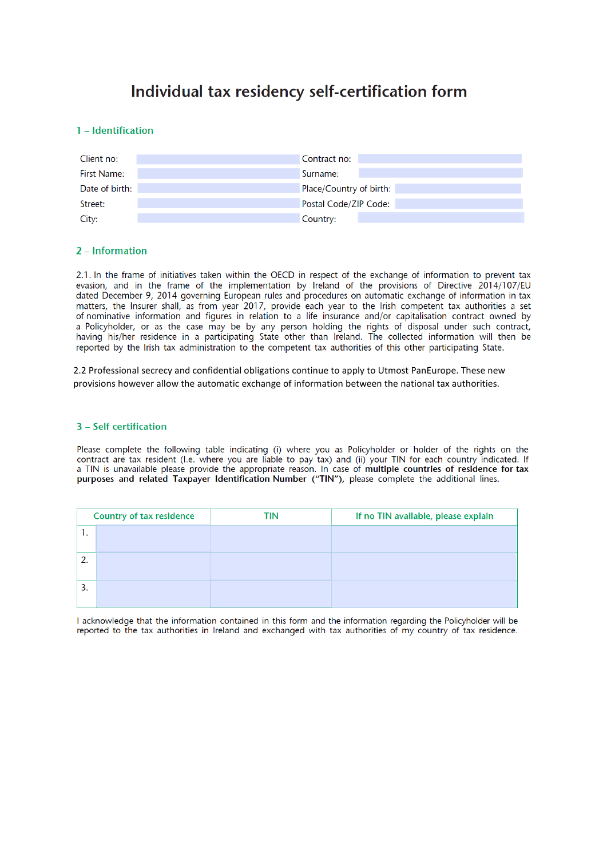# Individual tax residency self-certification form

## 1 - Identification

| Client no:     | Contract no:            |
|----------------|-------------------------|
| First Name:    | Surname:                |
| Date of birth: | Place/Country of birth: |
| Street:        | Postal Code/ZIP Code:   |
| City:          | Country:                |

# 2 - Information

2.1. In the frame of initiatives taken within the OECD in respect of the exchange of information to prevent tax evasion, and in the frame of the implementation by Ireland of the provisions of Directive 2014/107/EU dated December 9, 2014 governing European rules and procedures on automatic exchange of information in tax matters, the Insurer shall, as from year 2017, provide each year to the Irish competent tax authorities a set of nominative information and figures in relation to a life insurance and/or capitalisation contract owned by a Policyholder, or as the case may be by any person holding the rights of disposal under such contract, having his/her residence in a participating State other than Ireland. The collected information will then be reported by the Irish tax administration to the competent tax authorities of this other participating State.

2.2 Professional secrecy and confidential obligations continue to apply to Utmost PanEurope. These new provisions however allow the automatic exchange of information between the national tax authorities.

## 3 - Self certification

Please complete the following table indicating (i) where you as Policyholder or holder of the rights on the contract are tax resident (I.e. where you are liable to pay tax) and (ii) your TIN for each country indicated. If a TIN is unavailable please provide the appropriate reason. In case of multiple countries of residence for tax purposes and related Taxpayer Identification Number ("TIN"), please complete the additional lines.

| <b>Country of tax residence</b> |  | TIN | If no TIN available, please explain |
|---------------------------------|--|-----|-------------------------------------|
| . .                             |  |     |                                     |
| 2.                              |  |     |                                     |
| 3.                              |  |     |                                     |

I acknowledge that the information contained in this form and the information regarding the Policyholder will be reported to the tax authorities in Ireland and exchanged with tax authorities of my country of tax residence.